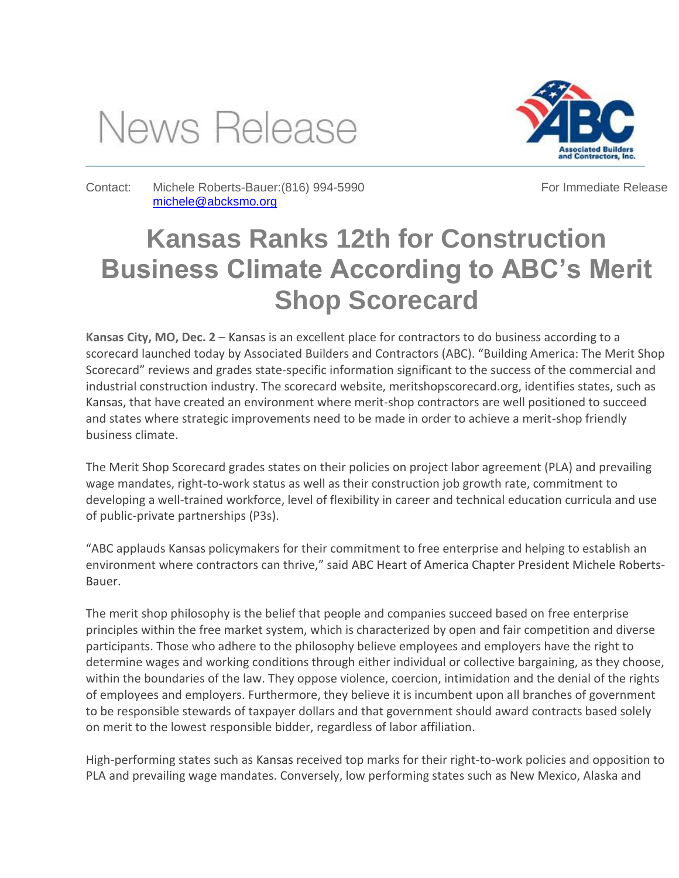## News Release



Contact: Michele Roberts-Bauer:(816) 994-5990 [michele@abcksmo.org](mailto:michele@abcksmo.org) 

For Immediate Release

## **Kansas Ranks 12th for Construction Business Climate According to ABC's Merit Shop Scorecard**

**Kansas City, MO, Dec. 2** – Kansas is an excellent place for contractors to do business according to a scorecard launched today by Associated Builders and Contractors (ABC). "Building America: The Merit Shop Scorecard" reviews and grades state-specific information significant to the success of the commercial and industrial construction industry. The scorecard website, meritshopscorecard.org, identifies states, such as Kansas, that have created an environment where merit-shop contractors are well positioned to succeed and states where strategic improvements need to be made in order to achieve a merit-shop friendly business climate.

The Merit Shop Scorecard grades states on their policies on project labor agreement (PLA) and prevailing wage mandates, right-to-work status as well as their construction job growth rate, commitment to developing a well-trained workforce, level of flexibility in career and technical education curricula and use of public-private partnerships (P3s).

"ABC applauds Kansas policymakers for their commitment to free enterprise and helping to establish an environment where contractors can thrive," said ABC Heart of America Chapter President Michele Roberts-Bauer.

The merit shop philosophy is the belief that people and companies succeed based on free enterprise principles within the free market system, which is characterized by open and fair competition and diverse participants. Those who adhere to the philosophy believe employees and employers have the right to determine wages and working conditions through either individual or collective bargaining, as they choose, within the boundaries of the law. They oppose violence, coercion, intimidation and the denial of the rights of employees and employers. Furthermore, they believe it is incumbent upon all branches of government to be responsible stewards of taxpayer dollars and that government should award contracts based solely on merit to the lowest responsible bidder, regardless of labor affiliation.

High-performing states such as Kansas received top marks for their right-to-work policies and opposition to PLA and prevailing wage mandates. Conversely, low performing states such as New Mexico, Alaska and